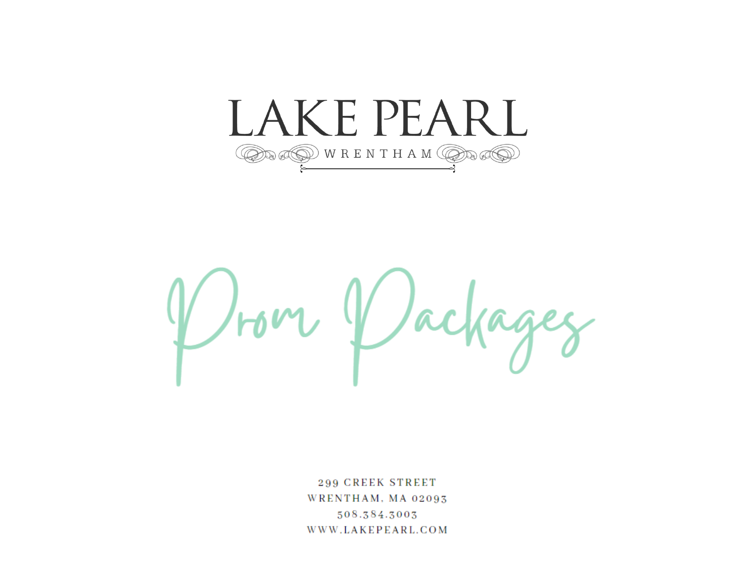



299 CREEK STREET WRENTHAM, MA 02093 508.384.3003 WWW.LAKEPEARL.COM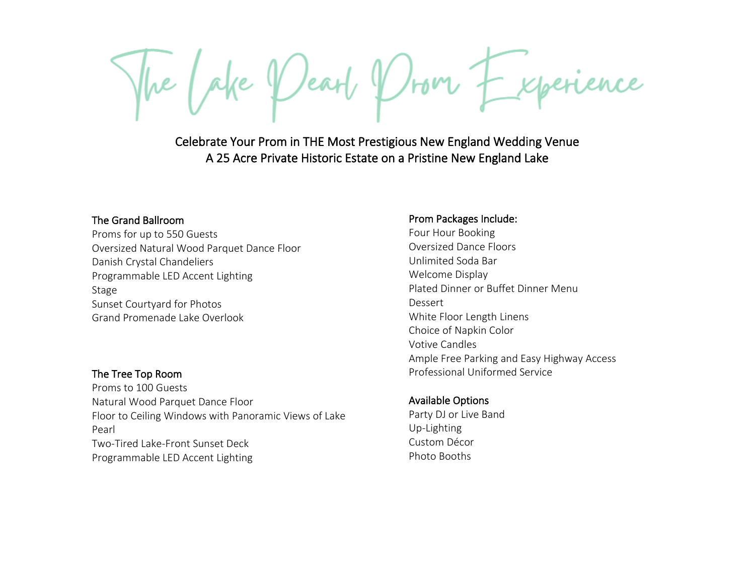Celebrate Your Prom in THE Most Prestigious New England Wedding Venue A 25 Acre Private Historic Estate on a Pristine New England Lake

# The Grand Ballroom

Proms for up to 550 Guests Oversized Natural Wood Parquet Dance Floor Danish Crystal Chandeliers Programmable LED Accent Lighting Stage Sunset Courtyard for Photos Grand Promenade Lake Overlook

# The Tree Top Room

Proms to 100 Guests Natural Wood Parquet Dance Floor Floor to Ceiling Windows with Panoramic Views of Lake Pearl Two-Tired Lake-Front Sunset Deck Programmable LED Accent Lighting

# Prom Packages Include:

Four Hour Booking Oversized Dance Floors Unlimited Soda Bar Welcome Display Plated Dinner or Buffet Dinner Menu Dessert White Floor Length Linens Choice of Napkin Color Votive Candles Ample Free Parking and Easy Highway Access Professional Uniformed Service

# Available Options

Party DJ or Live Band Up-Lighting Custom Décor Photo Booths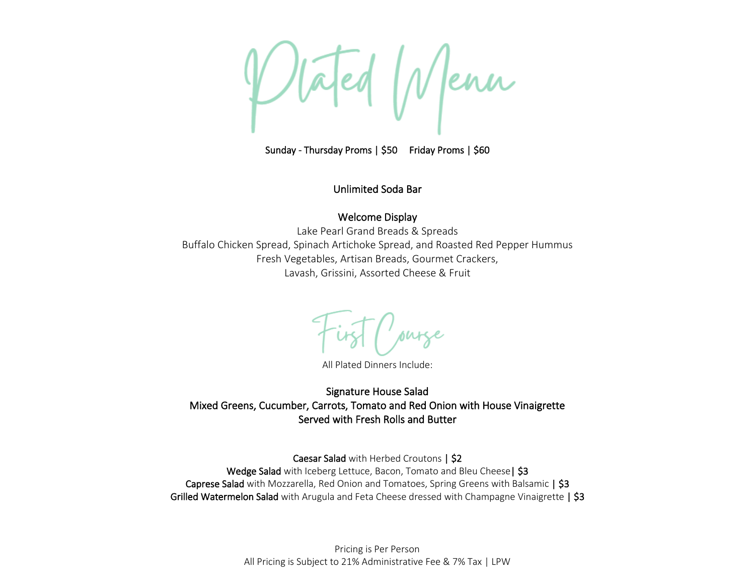tated Menn

Sunday - Thursday Proms | \$50 Friday Proms | \$60

Unlimited Soda Bar

# Welcome Display

Lake Pearl Grand Breads & Spreads Buffalo Chicken Spread, Spinach Artichoke Spread, and Roasted Red Pepper Hummus Fresh Vegetables, Artisan Breads, Gourmet Crackers, Lavash, Grissini, Assorted Cheese & Fruit

All Plated Dinners Include:

Signature House Salad Mixed Greens, Cucumber, Carrots, Tomato and Red Onion with House Vinaigrette Served with Fresh Rolls and Butter

Caesar Salad with Herbed Croutons | \$2 Wedge Salad with Iceberg Lettuce, Bacon, Tomato and Bleu Cheese | \$3 Caprese Salad with Mozzarella, Red Onion and Tomatoes, Spring Greens with Balsamic | \$3 Grilled Watermelon Salad with Arugula and Feta Cheese dressed with Champagne Vinaigrette | \$3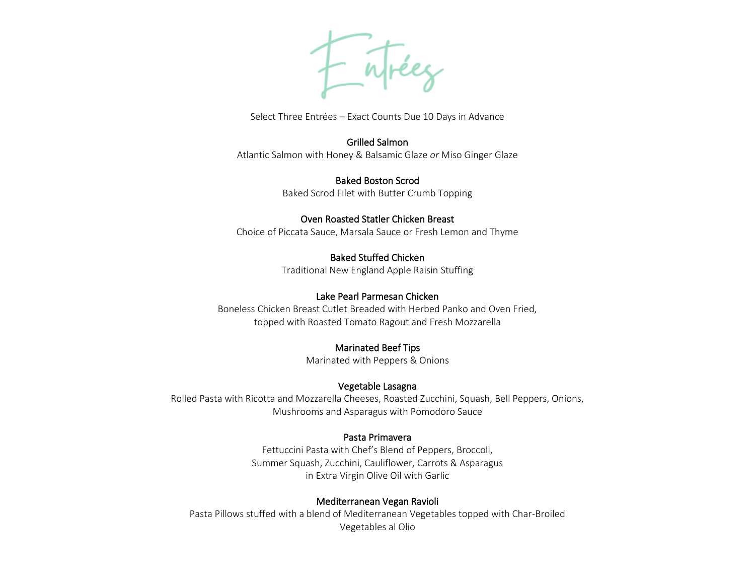F atréez

Select Three Entrées – Exact Counts Due 10 Days in Advance

#### Grilled Salmon

Atlantic Salmon with Honey & Balsamic Glaze *or* Miso Ginger Glaze

Baked Boston Scrod Baked Scrod Filet with Butter Crumb Topping

## Oven Roasted Statler Chicken Breast

Choice of Piccata Sauce, Marsala Sauce or Fresh Lemon and Thyme

# Baked Stuffed Chicken

Traditional New England Apple Raisin Stuffing

# Lake Pearl Parmesan Chicken

Boneless Chicken Breast Cutlet Breaded with Herbed Panko and Oven Fried, topped with Roasted Tomato Ragout and Fresh Mozzarella

# Marinated Beef Tips

Marinated with Peppers & Onions

# Vegetable Lasagna

Rolled Pasta with Ricotta and Mozzarella Cheeses, Roasted Zucchini, Squash, Bell Peppers, Onions, Mushrooms and Asparagus with Pomodoro Sauce

# Pasta Primavera

Fettuccini Pasta with Chef's Blend of Peppers, Broccoli, Summer Squash, Zucchini, Cauliflower, Carrots & Asparagus in Extra Virgin Olive Oil with Garlic

# Mediterranean Vegan Ravioli

Pasta Pillows stuffed with a blend of Mediterranean Vegetables topped with Char-Broiled Vegetables al Olio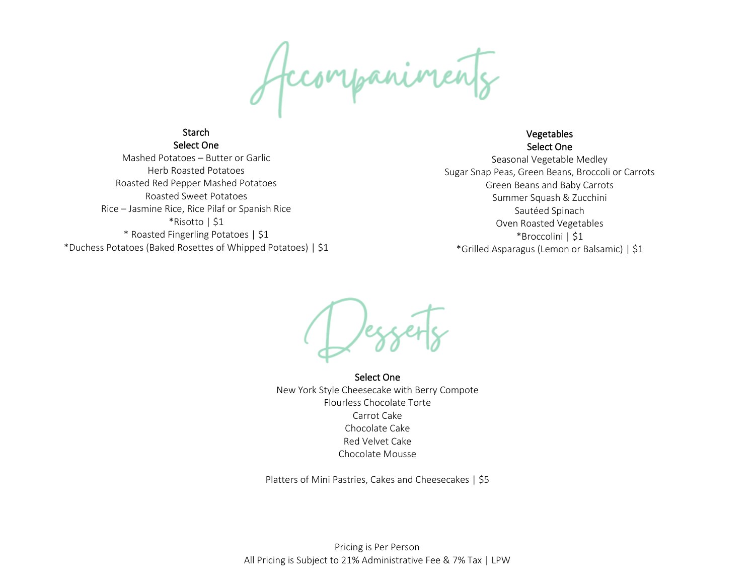Accompanimée

Select One Mashed Potatoes – Butter or Garlic Herb Roasted Potatoes Roasted Red Pepper Mashed Potatoes Roasted Sweet Potatoes Rice – Jasmine Rice, Rice Pilaf or Spanish Rice \*Risotto | \$1 \* Roasted Fingerling Potatoes | \$1 \*Duchess Potatoes (Baked Rosettes of Whipped Potatoes) | \$1

**Starch** 

### Vegetables Select One

Seasonal Vegetable Medley Sugar Snap Peas, Green Beans, Broccoli or Carrots Green Beans and Baby Carrots Summer Squash & Zucchini Sautéed Spinach Oven Roasted Vegetables \*Broccolini | \$1 \*Grilled Asparagus (Lemon or Balsamic) | \$1

Select One New York Style Cheesecake with Berry Compote Flourless Chocolate Torte Carrot Cake Chocolate Cake Red Velvet Cake Chocolate Mousse

Platters of Mini Pastries, Cakes and Cheesecakes | \$5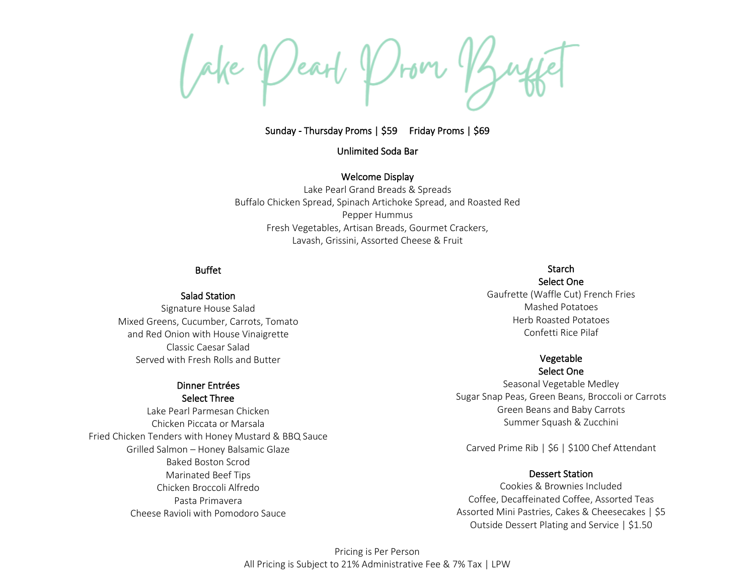Sunday - Thursday Proms | \$59 Friday Proms | \$69

Unlimited Soda Bar

Welcome Display

Lake Pearl Grand Breads & Spreads Buffalo Chicken Spread, Spinach Artichoke Spread, and Roasted Red Pepper Hummus Fresh Vegetables, Artisan Breads, Gourmet Crackers, Lavash, Grissini, Assorted Cheese & Fruit

## Buffet

Salad Station

Signature House Salad Mixed Greens, Cucumber, Carrots, Tomato and Red Onion with House Vinaigrette Classic Caesar Salad Served with Fresh Rolls and Butter

#### Dinner Entrées Select Three

Lake Pearl Parmesan Chicken Chicken Piccata or Marsala Fried Chicken Tenders with Honey Mustard & BBQ Sauce Grilled Salmon – Honey Balsamic Glaze Baked Boston Scrod Marinated Beef Tips Chicken Broccoli Alfredo Pasta Primavera Cheese Ravioli with Pomodoro Sauce

# **Starch**

Select One Gaufrette (Waffle Cut) French Fries Mashed Potatoes Herb Roasted Potatoes Confetti Rice Pilaf

#### Vegetable Select One

Seasonal Vegetable Medley Sugar Snap Peas, Green Beans, Broccoli or Carrots Green Beans and Baby Carrots Summer Squash & Zucchini

Carved Prime Rib | \$6 | \$100 Chef Attendant

## Dessert Station

Cookies & Brownies Included Coffee, Decaffeinated Coffee, Assorted Teas Assorted Mini Pastries, Cakes & Cheesecakes | \$5 Outside Dessert Plating and Service | \$1.50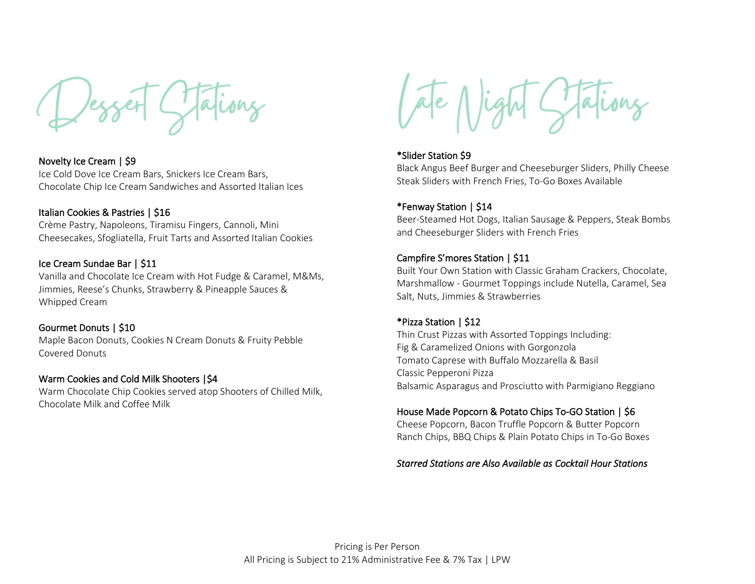Novelty Ice Cream | \$9 Ice Cold Dove Ice Cream Bars, Snickers Ice Cream Bars, Chocolate Chip Ice Cream Sandwiches and Assorted Italian Ices

#### Italian Cookies & Pastries | \$16

Crème Pastry, Napoleons, Tiramisu Fingers, Cannoli, Mini Cheesecakes, Sfogliatella, Fruit Tarts and Assorted Italian Cookies

#### Ice Cream Sundae Bar | \$11

Vanilla and Chocolate Ice Cream with Hot Fudge & Caramel, M&Ms, Jimmies, Reese's Chunks, Strawberry & Pineapple Sauces & Whipped Cream

## Gourmet Donuts | \$10

Maple Bacon Donuts, Cookies N Cream Donuts & Fruity Pebble Covered Donuts

# Warm Cookies and Cold Milk Shooters |\$4

Warm Chocolate Chip Cookies served atop Shooters of Chilled Milk, Chocolate Milk and Coffee Milk

#### \*Slider Station \$9

Black Angus Beef Burger and Cheeseburger Sliders, Philly Cheese Steak Sliders with French Fries, To-Go Boxes Available

#### \*Fenway Station | \$14

Beer-Steamed Hot Dogs, Italian Sausage & Peppers, Steak Bombs and Cheeseburger Sliders with French Fries

# Campfire S'mores Station | \$11

Built Your Own Station with Classic Graham Crackers, Chocolate, Marshmallow - Gourmet Toppings include Nutella, Caramel, Sea Salt, Nuts, Jimmies & Strawberries

#### \*Pizza Station | \$12

Thin Crust Pizzas with Assorted Toppings Including: Fig & Caramelized Onions with Gorgonzola Tomato Caprese with Buffalo Mozzarella & Basil Classic Pepperoni Pizza Balsamic Asparagus and Prosciutto with Parmigiano Reggiano

## House Made Popcorn & Potato Chips To-GO Station | \$6

Cheese Popcorn, Bacon Truffle Popcorn & Butter Popcorn Ranch Chips, BBQ Chips & Plain Potato Chips in To-Go Boxes

#### *Starred Stations are Also Available as Cocktail Hour Stations*